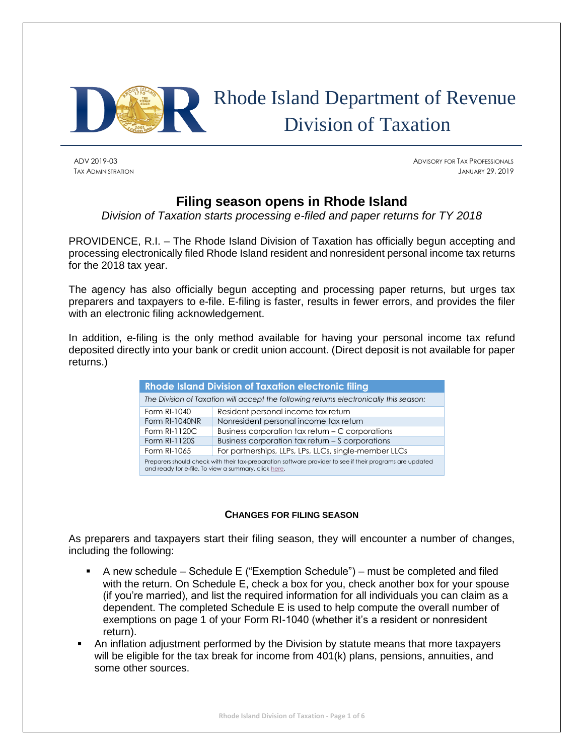

# Rhode Island Department of Revenue Division of Taxation

ADV 2019-03 ADVISORY FOR TAX PROFESSIONALS TAX ADMINISTRATION JANUARY 29, 2019

## **Filing season opens in Rhode Island**

*Division of Taxation starts processing e-filed and paper returns for TY 2018* 

PROVIDENCE, R.I. – The Rhode Island Division of Taxation has officially begun accepting and processing electronically filed Rhode Island resident and nonresident personal income tax returns for the 2018 tax year.

The agency has also officially begun accepting and processing paper returns, but urges tax preparers and taxpayers to e-file. E-filing is faster, results in fewer errors, and provides the filer with an electronic filing acknowledgement.

In addition, e-filing is the only method available for having your personal income tax refund deposited directly into your bank or credit union account. (Direct deposit is not available for paper returns.)

| <b>Rhode Island Division of Taxation electronic filing</b>                                                                                                       |                                                       |  |  |  |
|------------------------------------------------------------------------------------------------------------------------------------------------------------------|-------------------------------------------------------|--|--|--|
| The Division of Taxation will accept the following returns electronically this season:                                                                           |                                                       |  |  |  |
| Form RI-1040                                                                                                                                                     | Resident personal income tax return                   |  |  |  |
| Form RI-1040NR                                                                                                                                                   | Nonresident personal income tax return                |  |  |  |
| Form RI-1120C                                                                                                                                                    | Business corporation tax return – C corporations      |  |  |  |
| Form RI-1120S                                                                                                                                                    | Business corporation tax return - S corporations      |  |  |  |
| Form RI-1065                                                                                                                                                     | For partnerships, LLPs, LPs, LLCs, single-member LLCs |  |  |  |
| Preparers should check with their tax-preparation software provider to see if their programs are updated<br>and ready for e-file. To view a summary, click here. |                                                       |  |  |  |

## **CHANGES FOR FILING SEASON**

As preparers and taxpayers start their filing season, they will encounter a number of changes, including the following:

- A new schedule Schedule E ("Exemption Schedule") must be completed and filed with the return. On Schedule E, check a box for you, check another box for your spouse (if you're married), and list the required information for all individuals you can claim as a dependent. The completed Schedule E is used to help compute the overall number of exemptions on page 1 of your Form RI-1040 (whether it's a resident or nonresident return).
- An inflation adjustment performed by the Division by statute means that more taxpayers will be eligible for the tax break for income from 401(k) plans, pensions, annuities, and some other sources.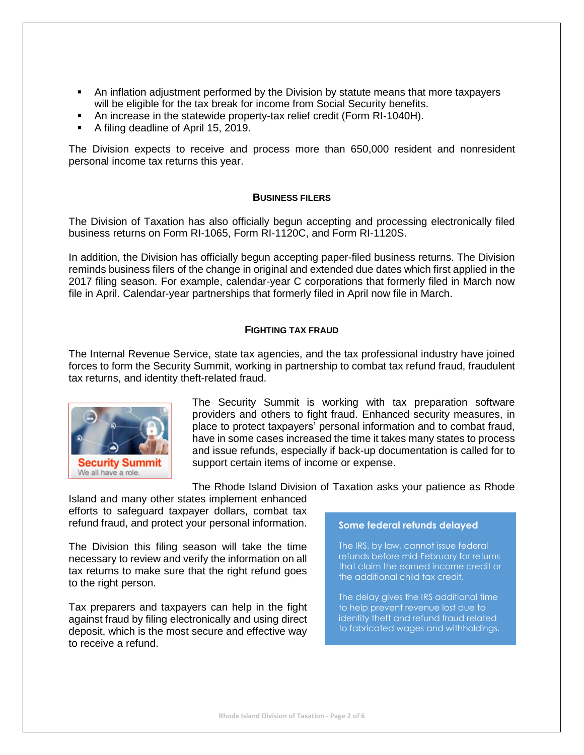- **•** An inflation adjustment performed by the Division by statute means that more taxpayers will be eligible for the tax break for income from Social Security benefits.
- An increase in the statewide property-tax relief credit (Form RI-1040H).
- A filing deadline of April 15, 2019.

The Division expects to receive and process more than 650,000 resident and nonresident personal income tax returns this year.

## **BUSINESS FILERS**

The Division of Taxation has also officially begun accepting and processing electronically filed business returns on Form RI-1065, Form RI-1120C, and Form RI-1120S.

In addition, the Division has officially begun accepting paper-filed business returns. The Division reminds business filers of the change in original and extended due dates which first applied in the 2017 filing season. For example, calendar-year C corporations that formerly filed in March now file in April. Calendar-year partnerships that formerly filed in April now file in March.

## **FIGHTING TAX FRAUD**

The Internal Revenue Service, state tax agencies, and the tax professional industry have joined forces to form the Security Summit, working in partnership to combat tax refund fraud, fraudulent tax returns, and identity theft-related fraud.



The Security Summit is working with tax preparation software providers and others to fight fraud. Enhanced security measures, in place to protect taxpayers' personal information and to combat fraud, have in some cases increased the time it takes many states to process and issue refunds, especially if back-up documentation is called for to support certain items of income or expense.

The Rhode Island Division of Taxation asks your patience as Rhode

Island and many other states implement enhanced efforts to safeguard taxpayer dollars, combat tax refund fraud, and protect your personal information.

The Division this filing season will take the time necessary to review and verify the information on all tax returns to make sure that the right refund goes to the right person.

Tax preparers and taxpayers can help in the fight against fraud by filing electronically and using direct deposit, which is the most secure and effective way to receive a refund.

#### **Some federal refunds delayed**

The IRS, by law, cannot issue federal refunds before mid-February for returns that claim the earned income credit or the additional child tax credit.

The delay gives the IRS additional time to help prevent revenue lost due to identity theft and refund fraud related to fabricated wages and withholdings.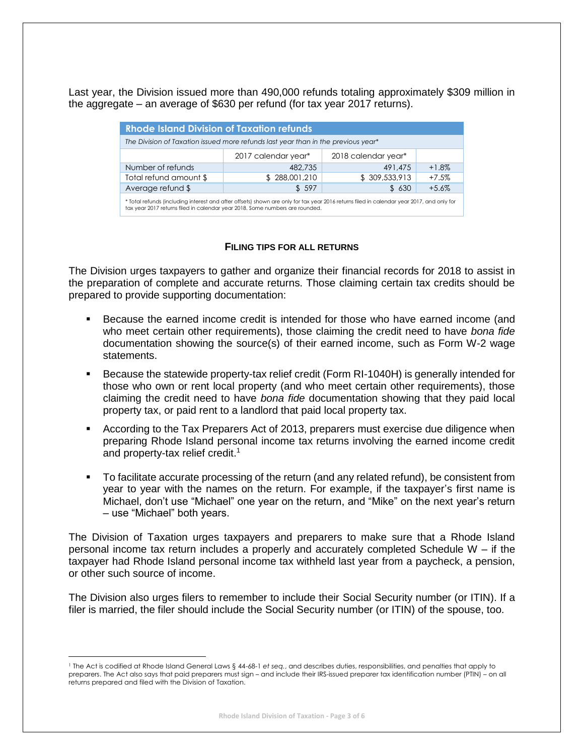Last year, the Division issued more than 490,000 refunds totaling approximately \$309 million in the aggregate – an average of \$630 per refund (for tax year 2017 returns).

| <b>Rhode Island Division of Taxation refunds</b>                                                                                                                                                                          |                     |                     |         |  |  |  |  |
|---------------------------------------------------------------------------------------------------------------------------------------------------------------------------------------------------------------------------|---------------------|---------------------|---------|--|--|--|--|
| The Division of Taxation issued more refunds last year than in the previous year*                                                                                                                                         |                     |                     |         |  |  |  |  |
|                                                                                                                                                                                                                           | 2017 calendar year* | 2018 calendar year* |         |  |  |  |  |
| Number of refunds                                                                                                                                                                                                         | 482,735             | 491,475             | $+1.8%$ |  |  |  |  |
| Total refund amount \$                                                                                                                                                                                                    | \$288,001,210       | \$309,533,913       | $+7.5%$ |  |  |  |  |
| Average refund \$                                                                                                                                                                                                         | \$597               | \$630               | $+5.6%$ |  |  |  |  |
| * Total refunds (including interest and after offsets) shown are only for tax year 2016 returns filed in calendar year 2017, and only for<br>tax year 2017 returns filed in calendar year 2018. Some numbers are rounded. |                     |                     |         |  |  |  |  |

## **FILING TIPS FOR ALL RETURNS**

The Division urges taxpayers to gather and organize their financial records for 2018 to assist in the preparation of complete and accurate returns. Those claiming certain tax credits should be prepared to provide supporting documentation:

- Because the earned income credit is intended for those who have earned income (and who meet certain other requirements), those claiming the credit need to have *bona fide*  documentation showing the source(s) of their earned income, such as Form W-2 wage statements.
- Because the statewide property-tax relief credit (Form RI-1040H) is generally intended for those who own or rent local property (and who meet certain other requirements), those claiming the credit need to have *bona fide* documentation showing that they paid local property tax, or paid rent to a landlord that paid local property tax.
- According to the Tax Preparers Act of 2013, preparers must exercise due diligence when preparing Rhode Island personal income tax returns involving the earned income credit and property-tax relief credit.<sup>1</sup>
- To facilitate accurate processing of the return (and any related refund), be consistent from year to year with the names on the return. For example, if the taxpayer's first name is Michael, don't use "Michael" one year on the return, and "Mike" on the next year's return – use "Michael" both years.

The Division of Taxation urges taxpayers and preparers to make sure that a Rhode Island personal income tax return includes a properly and accurately completed Schedule W – if the taxpayer had Rhode Island personal income tax withheld last year from a paycheck, a pension, or other such source of income.

The Division also urges filers to remember to include their Social Security number (or ITIN). If a filer is married, the filer should include the Social Security number (or ITIN) of the spouse, too.

 $\overline{\phantom{a}}$ 

<sup>1</sup> The Act is codified at Rhode Island General Laws § 44-68-1 *et seq.*, and describes duties, responsibilities, and penalties that apply to preparers. The Act also says that paid preparers must sign – and include their IRS-issued preparer tax identification number (PTIN) – on all returns prepared and filed with the Division of Taxation.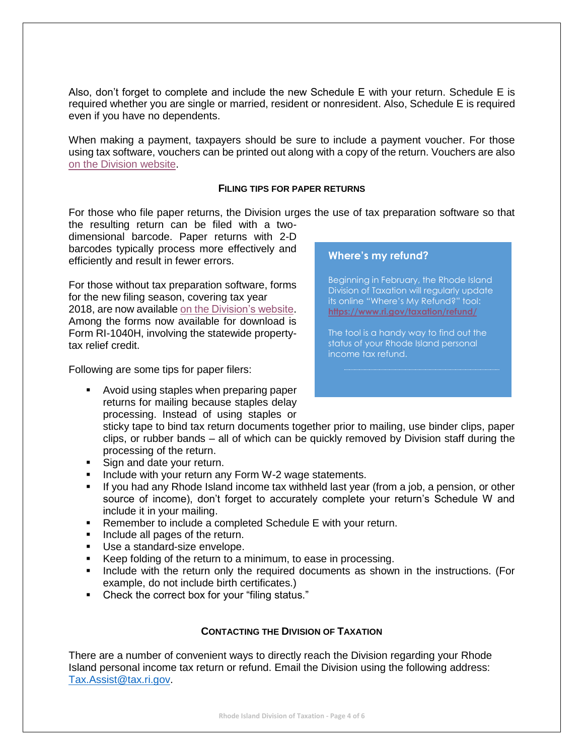Also, don't forget to complete and include the new Schedule E with your return. Schedule E is required whether you are single or married, resident or nonresident. Also, Schedule E is required even if you have no dependents.

When making a payment, taxpayers should be sure to include a payment voucher. For those using tax software, vouchers can be printed out along with a copy of the return. Vouchers are also [on the Division website.](http://www.tax.ri.gov/forms/2018/Income/2018%20RI-1040V_Onem.pdf)

## **FILING TIPS FOR PAPER RETURNS**

For those who file paper returns, the Division urges the use of tax preparation software so that

the resulting return can be filed with a twodimensional barcode. Paper returns with 2-D barcodes typically process more effectively and efficiently and result in fewer errors.

For those without tax preparation software, forms for the new filing season, covering tax year 2018, are now available [on the Division's website.](http://www.tax.ri.gov/taxforms/personal.php) Among the forms now available for download is Form RI-1040H, involving the statewide propertytax relief credit.

Following are some tips for paper filers:

■ Avoid using staples when preparing paper returns for mailing because staples delay processing. Instead of using staples or

## **Where's my refund?**

Beginning in February, the Rhode Island Division of Taxation will regularly update its online "Where's My Refund?" tool: **<https://www.ri.gov/taxation/refund/>**

The tool is a handy way to find out the status of your Rhode Island personal income tax refund.

sticky tape to bind tax return documents together prior to mailing, use binder clips, paper clips, or rubber bands – all of which can be quickly removed by Division staff during the processing of the return.

- Sign and date your return.
- Include with your return any Form W-2 wage statements.
- **.** If you had any Rhode Island income tax withheld last year (from a job, a pension, or other source of income), don't forget to accurately complete your return's Schedule W and include it in your mailing.
- Remember to include a completed Schedule E with your return.
- Include all pages of the return.
- Use a standard-size envelope.
- Keep folding of the return to a minimum, to ease in processing.
- **•** Include with the return only the required documents as shown in the instructions. (For example, do not include birth certificates.)
- Check the correct box for your "filing status."

## **CONTACTING THE DIVISION OF TAXATION**

There are a number of convenient ways to directly reach the Division regarding your Rhode Island personal income tax return or refund. Email the Division using the following address: [Tax.Assist@tax.ri.gov.](mailto:Tax.Assist@tax.ri.gov)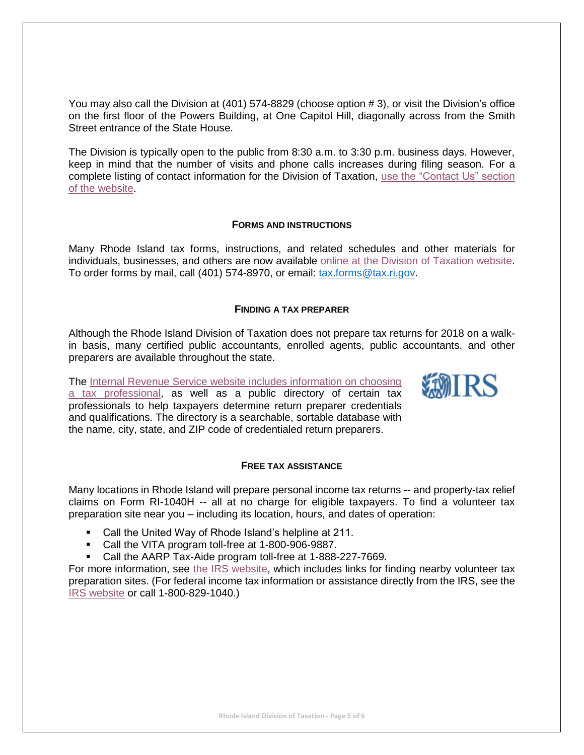You may also call the Division at (401) 574-8829 (choose option # 3), or visit the Division's office on the first floor of the Powers Building, at One Capitol Hill, diagonally across from the Smith Street entrance of the State House.

The Division is typically open to the public from 8:30 a.m. to 3:30 p.m. business days. However, keep in mind that the number of visits and phone calls increases during filing season. For a complete listing of contact information for the Division of Taxation, [use the "Contact Us" section](http://www.tax.ri.gov/contact/)  [of the website.](http://www.tax.ri.gov/contact/)

## **FORMS AND INSTRUCTIONS**

Many Rhode Island tax forms, instructions, and related schedules and other materials for individuals, businesses, and others are now available [online at the Division of Taxation website.](http://www.tax.ri.gov/taxforms/) To order forms by mail, call (401) 574-8970, or email: [tax.forms@tax.ri.gov.](mailto:tax.forms@tax.ri.gov)

## **FINDING A TAX PREPARER**

Although the Rhode Island Division of Taxation does not prepare tax returns for 2018 on a walkin basis, many certified public accountants, enrolled agents, public accountants, and other preparers are available throughout the state.

**SEMIRS** 

The [Internal Revenue Service website includes information on choosing](https://www.irs.gov/tax-professionals/choosing-a-tax-professional)  [a tax professional,](https://www.irs.gov/tax-professionals/choosing-a-tax-professional) as well as a public directory of certain tax professionals to help taxpayers determine return preparer credentials and qualifications. The directory is a searchable, sortable database with the name, city, state, and ZIP code of credentialed return preparers.

## **FREE TAX ASSISTANCE**

Many locations in Rhode Island will prepare personal income tax returns -- and property-tax relief claims on Form RI-1040H -- all at no charge for eligible taxpayers. To find a volunteer tax preparation site near you – including its location, hours, and dates of operation:

- Call the United Way of Rhode Island's helpline at 211.
- Call the VITA program toll-free at 1-800-906-9887.
- Call the AARP Tax-Aide program toll-free at 1-888-227-7669.

For more information, see [the IRS website,](https://www.irs.gov/individuals/free-tax-return-preparation-for-you-by-volunteers) which includes links for finding nearby volunteer tax preparation sites. (For federal income tax information or assistance directly from the IRS, see the [IRS website](https://www.irs.gov/) or call 1-800-829-1040.)